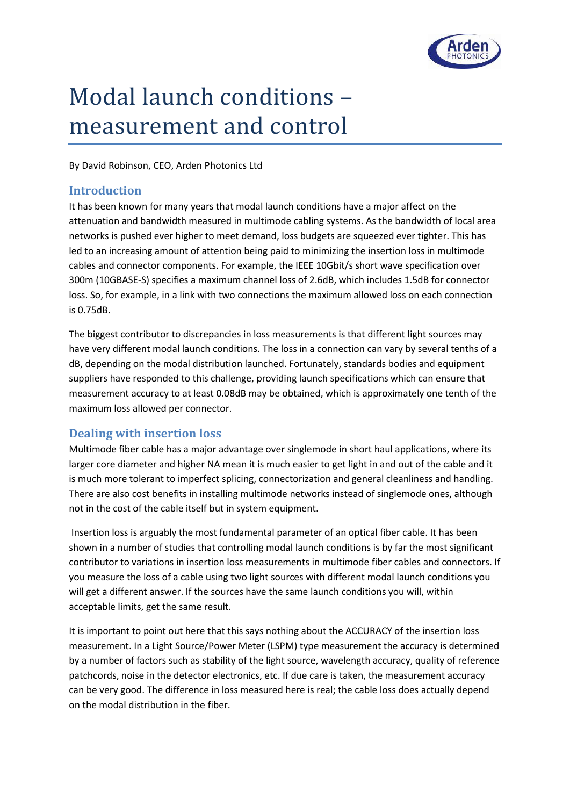

# Modal launch conditions – measurement and control

By David Robinson, CEO, Arden Photonics Ltd

### **Introduction**

It has been known for many years that modal launch conditions have a major affect on the attenuation and bandwidth measured in multimode cabling systems. As the bandwidth of local area networks is pushed ever higher to meet demand, loss budgets are squeezed ever tighter. This has led to an increasing amount of attention being paid to minimizing the insertion loss in multimode cables and connector components. For example, the IEEE 10Gbit/s short wave specification over 300m (10GBASE-S) specifies a maximum channel loss of 2.6dB, which includes 1.5dB for connector loss. So, for example, in a link with two connections the maximum allowed loss on each connection is 0.75dB.

The biggest contributor to discrepancies in loss measurements is that different light sources may have very different modal launch conditions. The loss in a connection can vary by several tenths of a dB, depending on the modal distribution launched. Fortunately, standards bodies and equipment suppliers have responded to this challenge, providing launch specifications which can ensure that measurement accuracy to at least 0.08dB may be obtained, which is approximately one tenth of the maximum loss allowed per connector.

## **Dealing with insertion loss**

Multimode fiber cable has a major advantage over singlemode in short haul applications, where its larger core diameter and higher NA mean it is much easier to get light in and out of the cable and it is much more tolerant to imperfect splicing, connectorization and general cleanliness and handling. There are also cost benefits in installing multimode networks instead of singlemode ones, although not in the cost of the cable itself but in system equipment.

Insertion loss is arguably the most fundamental parameter of an optical fiber cable. It has been shown in a number of studies that controlling modal launch conditions is by far the most significant contributor to variations in insertion loss measurements in multimode fiber cables and connectors. If you measure the loss of a cable using two light sources with different modal launch conditions you will get a different answer. If the sources have the same launch conditions you will, within acceptable limits, get the same result.

It is important to point out here that this says nothing about the ACCURACY of the insertion loss measurement. In a Light Source/Power Meter (LSPM) type measurement the accuracy is determined by a number of factors such as stability of the light source, wavelength accuracy, quality of reference patchcords, noise in the detector electronics, etc. If due care is taken, the measurement accuracy can be very good. The difference in loss measured here is real; the cable loss does actually depend on the modal distribution in the fiber.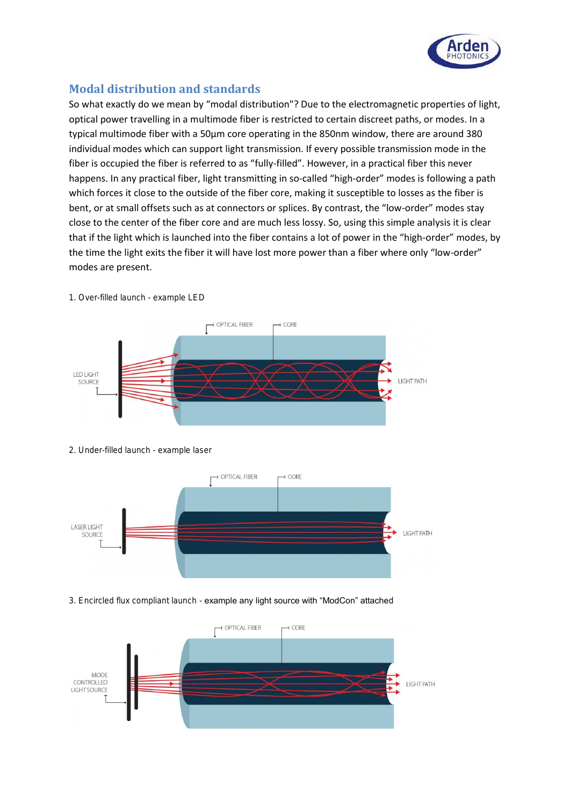

## **Modal distribution and standards**

So what exactly do we mean by "modal distribution"? Due to the electromagnetic properties of light, optical power travelling in a multimode fiber is restricted to certain discreet paths, or modes. In a typical multimode fiber with a 50µm core operating in the 850nm window, there are around 380 individual modes which can support light transmission. If every possible transmission mode in the fiber is occupied the fiber is referred to as "fully-filled". However, in a practical fiber this never happens. In any practical fiber, light transmitting in so-called "high-order" modes is following a path which forces it close to the outside of the fiber core, making it susceptible to losses as the fiber is bent, or at small offsets such as at connectors or splices. By contrast, the "low-order" modes stay close to the center of the fiber core and are much less lossy. So, using this simple analysis it is clear that if the light which is launched into the fiber contains a lot of power in the "high-order" modes, by the time the light exits the fiber it will have lost more power than a fiber where only "low-order" modes are present.



1. Over-filled launch - example LED

2. Under-filled launch - example laser



#### 3. Encircled flux compliant launch - example any light source with "ModCon" attached

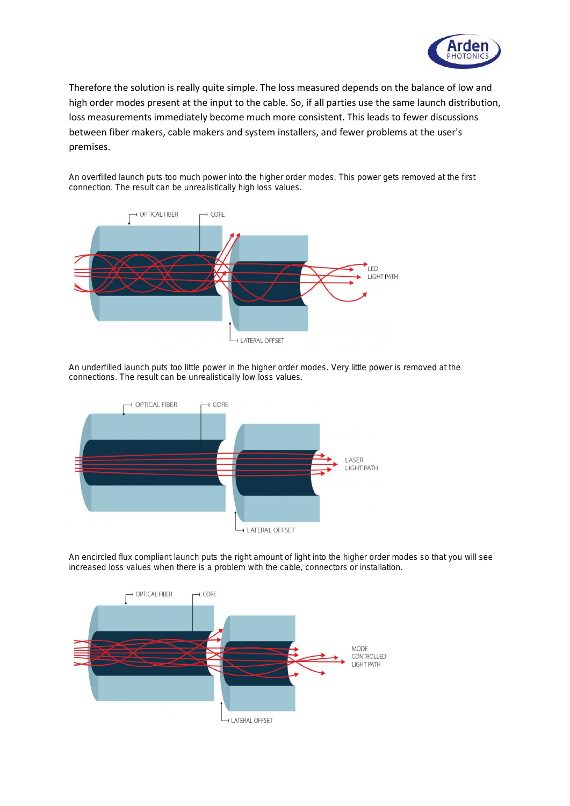

Therefore the solution is really quite simple. The loss measured depends on the balance of low and high order modes present at the input to the cable. So, if all parties use the same launch distribution, loss measurements immediately become much more consistent. This leads to fewer discussions between fiber makers, cable makers and system installers, and fewer problems at the user's premises.

An overfilled launch puts too much power into the higher order modes. This power gets removed at the first connection. The result can be unrealistically high loss values.



An underfilled launch puts too little power in the higher order modes. Very little power is removed at the connections. The result can be unrealistically low loss values.



An encircled flux compliant launch puts the right amount of light into the higher order modes so that you will see increased loss values when there is a problem with the cable, connectors or installation.

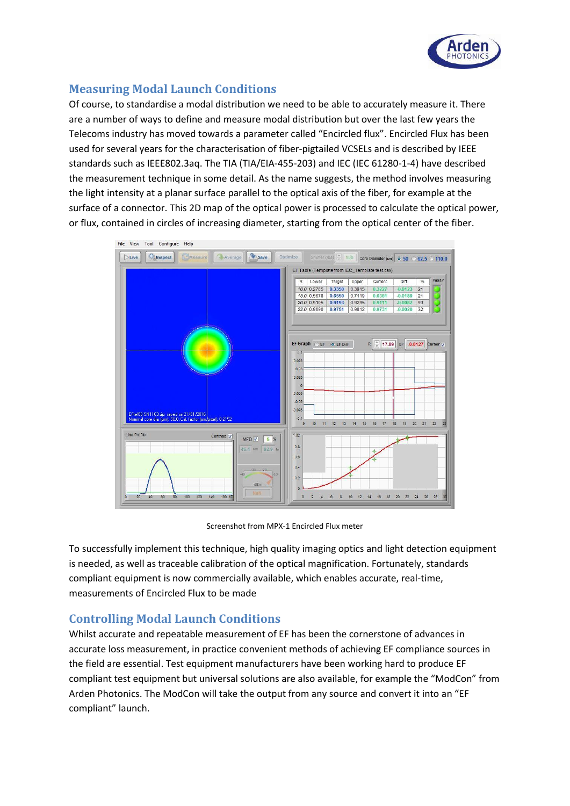

## **Measuring Modal Launch Conditions**

Of course, to standardise a modal distribution we need to be able to accurately measure it. There are a number of ways to define and measure modal distribution but over the last few years the Telecoms industry has moved towards a parameter called "Encircled flux". Encircled Flux has been used for several years for the characterisation of fiber-pigtailed VCSELs and is described by IEEE standards such as IEEE802.3aq. The TIA (TIA/EIA-455-203) and IEC (IEC 61280-1-4) have described the measurement technique in some detail. As the name suggests, the method involves measuring the light intensity at a planar surface parallel to the optical axis of the fiber, for example at the surface of a connector. This 2D map of the optical power is processed to calculate the optical power, or flux, contained in circles of increasing diameter, starting from the optical center of the fiber.



Screenshot from MPX-1 Encircled Flux meter

To successfully implement this technique, high quality imaging optics and light detection equipment is needed, as well as traceable calibration of the optical magnification. Fortunately, standards compliant equipment is now commercially available, which enables accurate, real-time, measurements of Encircled Flux to be made

## **Controlling Modal Launch Conditions**

Whilst accurate and repeatable measurement of EF has been the cornerstone of advances in accurate loss measurement, in practice convenient methods of achieving EF compliance sources in the field are essential. Test equipment manufacturers have been working hard to produce EF compliant test equipment but universal solutions are also available, for example the "ModCon" from Arden Photonics. The ModCon will take the output from any source and convert it into an "EF compliant" launch.